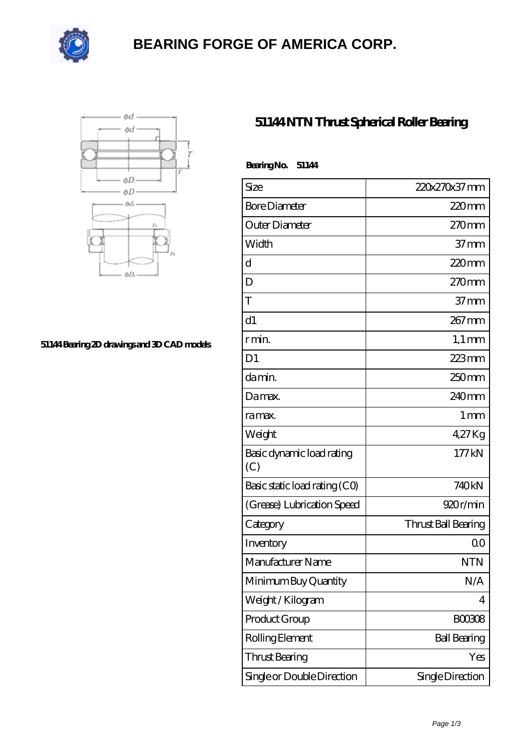

# **[BEARING FORGE OF AMERICA CORP.](https://nskf-bearings.com)**



#### **[51144 Bearing 2D drawings and 3D CAD models](https://nskf-bearings.com/pic-1030227.html)**

### **[51144 NTN Thrust Spherical Roller Bearing](https://nskf-bearings.com/thrust-spherical-roller-bearing/51144.html)**

| BearingNo.<br>51144              |                     |
|----------------------------------|---------------------|
| Size                             | 220x270x37 mm       |
| <b>Bore Diameter</b>             | 220mm               |
| Outer Diameter                   | 270mm               |
| Width                            | 37 <sub>mm</sub>    |
| d                                | 220mm               |
| D                                | 270mm               |
| T                                | $37 \text{mm}$      |
| d1                               | 267 mm              |
| r min.                           | $1,1 \text{ mm}$    |
| D <sub>1</sub>                   | 223mm               |
| da min.                          | 250mm               |
| Damax.                           | 240 <sub>mm</sub>   |
| ra max.                          | $1 \,\mathrm{mm}$   |
| Weight                           | 4.27Kg              |
| Basic dynamic load rating<br>(C) | 177kN               |
| Basic static load rating (CO)    | 740kN               |
| (Grease) Lubrication Speed       | 920r/min            |
| Category                         | Thrust Ball Bearing |
| Inventory                        | 0 <sup>0</sup>      |
| Manufacturer Name                | NTN                 |
| Minimum Buy Quantity             | N/A                 |
| Weight / Kilogram                | 4                   |
| Product Group                    | <b>BOO3O8</b>       |
| Rolling Element                  | <b>Ball Bearing</b> |
| Thrust Bearing                   | Yes                 |
| Single or Double Direction       | Single Direction    |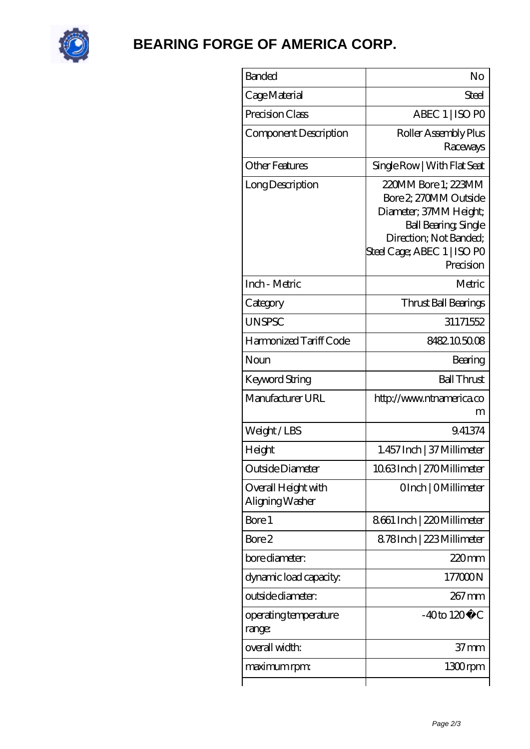

# **[BEARING FORGE OF AMERICA CORP.](https://nskf-bearings.com)**

| <b>Banded</b>                          | No                                                                                                                                                                          |
|----------------------------------------|-----------------------------------------------------------------------------------------------------------------------------------------------------------------------------|
| Cage Material                          | Steel                                                                                                                                                                       |
| Precision Class                        | ABEC 1   ISO PO                                                                                                                                                             |
| Component Description                  | Roller Assembly Plus<br>Raceways                                                                                                                                            |
| Other Features                         | Single Row   With Flat Seat                                                                                                                                                 |
| Long Description                       | 220MM Bore 1: 223MM<br>Bore 2, 270MM Outside<br>Diameter; 37MM Height;<br><b>Ball Bearing, Single</b><br>Direction; Not Banded;<br>Steel Cage; ABEC 1   ISO PO<br>Precision |
| Inch - Metric                          | Metric                                                                                                                                                                      |
| Category                               | Thrust Ball Bearings                                                                                                                                                        |
| <b>UNSPSC</b>                          | 31171552                                                                                                                                                                    |
| Harmonized Tariff Code                 | 8482105008                                                                                                                                                                  |
| Noun                                   | Bearing                                                                                                                                                                     |
| Keyword String                         | <b>Ball Thrust</b>                                                                                                                                                          |
| Manufacturer URL                       | http://www.ntnamerica.co<br>m                                                                                                                                               |
| Weight/LBS                             | 9.41374                                                                                                                                                                     |
| Height                                 | 1.457 Inch   37 Millimeter                                                                                                                                                  |
| Outside Diameter                       | 1063Inch   270Millimeter                                                                                                                                                    |
| Overall Height with<br>Aligning Washer | OInch   OMillimeter                                                                                                                                                         |
| Bore 1                                 | 8661 Inch   220 Millimeter                                                                                                                                                  |
| Bore 2                                 | 8.78Inch   223 Millimeter                                                                                                                                                   |
| bore diameter:                         | 220mm                                                                                                                                                                       |
| dynamic load capacity:                 | 177000N                                                                                                                                                                     |
| outside diameter:                      | 267 mm                                                                                                                                                                      |
| operating temperature<br>range:        | $-40$ to $120^{\circ}$ C                                                                                                                                                    |
| overall width:                         | 37 mm                                                                                                                                                                       |
| maximum rpm:                           | 1300rpm                                                                                                                                                                     |
|                                        |                                                                                                                                                                             |